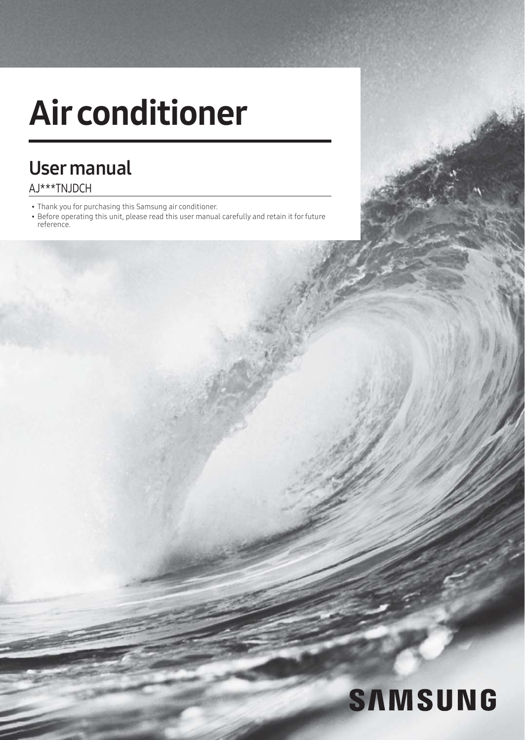# Air conditioner

## User manual AJ\*\*\*TNJDCH

- Thank you for purchasing this Samsung air conditioner.
- Before operating this unit, please read this user manual carefully and retain it for future reference.

# **SAMSUNG**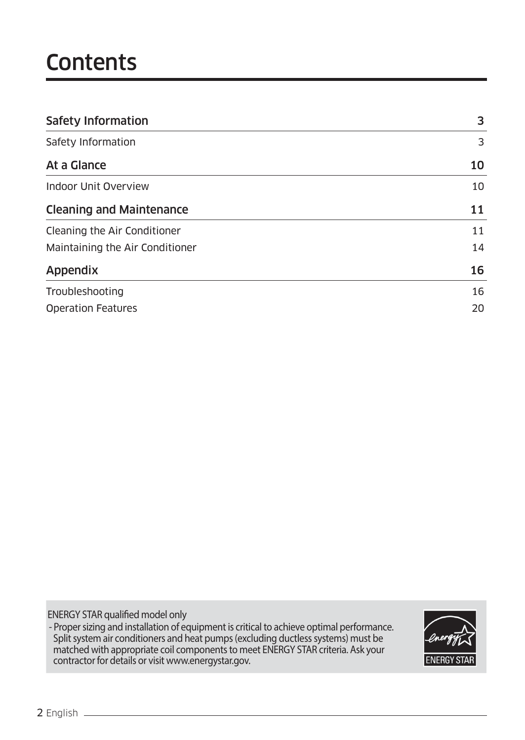# **Contents**

| <b>Safety Information</b>       |    |
|---------------------------------|----|
| Safety Information              | 3  |
| At a Glance                     | 10 |
| Indoor Unit Overview            | 10 |
| <b>Cleaning and Maintenance</b> | 11 |
| Cleaning the Air Conditioner    | 11 |
| Maintaining the Air Conditioner |    |
| Appendix                        | 16 |
| Troubleshooting                 | 16 |
| <b>Operation Features</b>       | 20 |

ENERGY STAR qualified model only

- Proper sizing and installation of equipment is critical to achieve optimal performance. Split system air conditioners and heat pumps (excluding ductless systems) must be matched with appropriate coil components to meet ENERGY STAR criteria. Ask your contractor for details or visit www.energystar.gov.

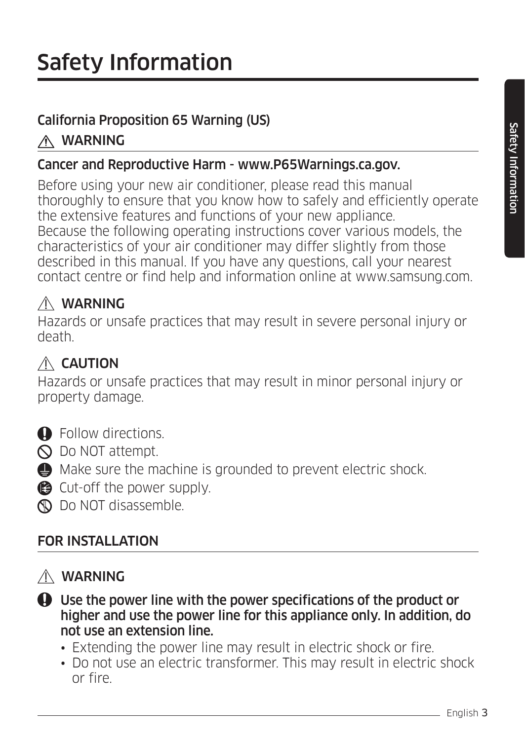### California Proposition 65 Warning (US)

# WARNING

#### Cancer and Reproductive Harm - www.P65Warnings.ca.gov.

Before using your new air conditioner, please read this manual thoroughly to ensure that you know how to safely and efficiently operate the extensive features and functions of your new appliance. Because the following operating instructions cover various models, the characteristics of your air conditioner may differ slightly from those described in this manual. If you have any questions, call your nearest contact centre or find help and information online at www.samsung.com.

# WARNING

Hazards or unsafe practices that may result in severe personal injury or death.

# $\triangle$  CAUTION

Hazards or unsafe practices that may result in minor personal injury or property damage.

- **O** Follow directions.
- $\bigcirc$  Do NOT attempt.
- $\bigoplus$  Make sure the machine is grounded to prevent electric shock.
- Cut-off the power supply.
- **N** Do NOT disassemble.

# FOR INSTALLATION

### WARNING

- Use the power line with the power specifications of the product or higher and use the power line for this appliance only. In addition, do not use an extension line.
	- Extending the power line may result in electric shock or fire.
	- Do not use an electric transformer. This may result in electric shock or fire.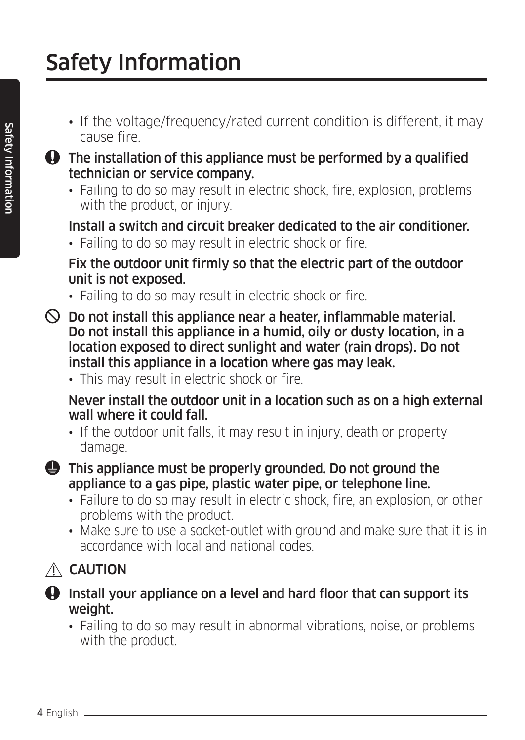- If the voltage/frequency/rated current condition is different, it may cause fire.
- The installation of this appliance must be performed by a qualified technician or service company.
	- Failing to do so may result in electric shock, fire, explosion, problems with the product, or injury.

#### Install a switch and circuit breaker dedicated to the air conditioner.

• Failing to do so may result in electric shock or fire.

#### Fix the outdoor unit firmly so that the electric part of the outdoor unit is not exposed.

- Failing to do so may result in electric shock or fire.
- $\heartsuit$  Do not install this appliance near a heater, inflammable material. Do not install this appliance in a humid, oily or dusty location, in a location exposed to direct sunlight and water (rain drops). Do not install this appliance in a location where gas may leak.
	- This may result in electric shock or fire.

#### Never install the outdoor unit in a location such as on a high external wall where it could fall.

• If the outdoor unit falls, it may result in injury, death or property damage.

#### $\bigoplus$  This appliance must be properly grounded. Do not ground the appliance to a gas pipe, plastic water pipe, or telephone line.

- Failure to do so may result in electric shock, fire, an explosion, or other problems with the product.
- Make sure to use a socket-outlet with ground and make sure that it is in accordance with local and national codes.

# $\triangle$  CAUTION



#### $\bf Q$  Install your appliance on a level and hard floor that can support its weight.

• Failing to do so may result in abnormal vibrations, noise, or problems with the product.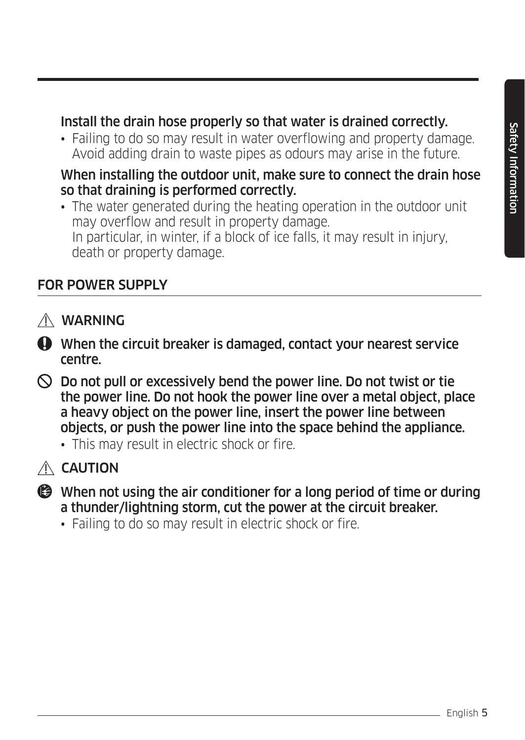#### Install the drain hose properly so that water is drained correctly.

• Failing to do so may result in water overflowing and property damage. Avoid adding drain to waste pipes as odours may arise in the future.

#### When installing the outdoor unit, make sure to connect the drain hose so that draining is performed correctly.

• The water generated during the heating operation in the outdoor unit may overflow and result in property damage. In particular, in winter, if a block of ice falls, it may result in injury, death or property damage.

#### FOR POWER SUPPLY

- WARNING
- When the circuit breaker is damaged, contact your nearest service centre.
- $\heartsuit$  Do not pull or excessively bend the power line. Do not twist or tie the power line. Do not hook the power line over a metal object, place a heavy object on the power line, insert the power line between objects, or push the power line into the space behind the appliance.
	- This may result in electric shock or fire.
- $A$  CAUTION
- When not using the air conditioner for a long period of time or during a thunder/lightning storm, cut the power at the circuit breaker.
	- Failing to do so may result in electric shock or fire.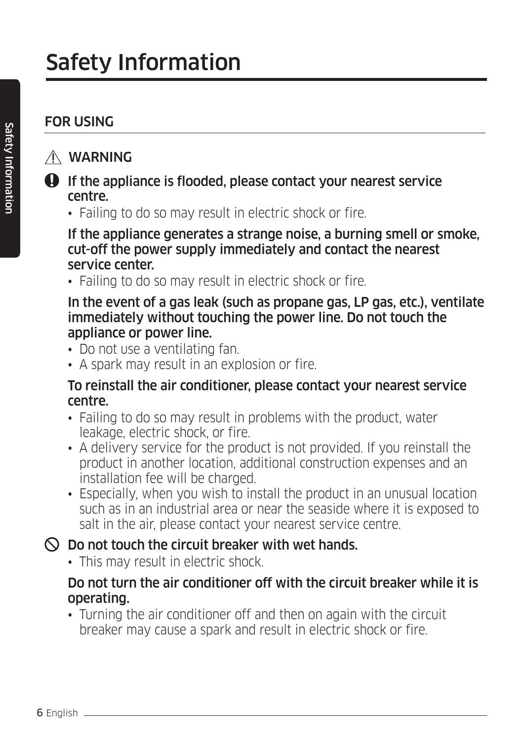### FOR USING

#### WARNING

- **O** If the appliance is flooded, please contact your nearest service centre.
	- Failing to do so may result in electric shock or fire.

 If the appliance generates a strange noise, a burning smell or smoke, cut-off the power supply immediately and contact the nearest service center.

• Failing to do so may result in electric shock or fire.

#### In the event of a gas leak (such as propane gas, LP gas, etc.), ventilate immediately without touching the power line. Do not touch the appliance or power line.

- Do not use a ventilating fan.
- A spark may result in an explosion or fire.

#### To reinstall the air conditioner, please contact your nearest service centre.

- Failing to do so may result in problems with the product, water leakage, electric shock, or fire.
- A delivery service for the product is not provided. If you reinstall the product in another location, additional construction expenses and an installation fee will be charged.
- Especially, when you wish to install the product in an unusual location such as in an industrial area or near the seaside where it is exposed to salt in the air, please contact your nearest service centre.

### $\heartsuit$  Do not touch the circuit breaker with wet hands.

• This may result in electric shock.

#### Do not turn the air conditioner off with the circuit breaker while it is operating.

• Turning the air conditioner off and then on again with the circuit breaker may cause a spark and result in electric shock or fire.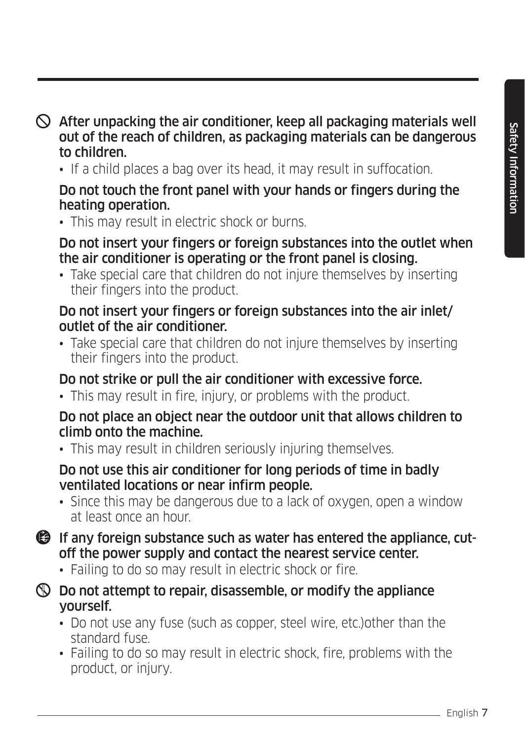$\heartsuit$  After unpacking the air conditioner, keep all packaging materials well out of the reach of children, as packaging materials can be dangerous to children.

• If a child places a bag over its head, it may result in suffocation.

#### Do not touch the front panel with your hands or fingers during the heating operation.

• This may result in electric shock or burns.

#### Do not insert your fingers or foreign substances into the outlet when the air conditioner is operating or the front panel is closing.

• Take special care that children do not injure themselves by inserting their fingers into the product.

#### Do not insert your fingers or foreign substances into the air inlet/ outlet of the air conditioner.

• Take special care that children do not injure themselves by inserting their fingers into the product.

### Do not strike or pull the air conditioner with excessive force.

• This may result in fire, injury, or problems with the product.

#### Do not place an object near the outdoor unit that allows children to climb onto the machine.

• This may result in children seriously injuring themselves.

#### Do not use this air conditioner for long periods of time in badly ventilated locations or near infirm people.

- Since this may be dangerous due to a lack of oxygen, open a window at least once an hour.
- If any foreign substance such as water has entered the appliance, cutoff the power supply and contact the nearest service center.
	- Failing to do so may result in electric shock or fire.
- $\circledR$  Do not attempt to repair, disassemble, or modify the appliance yourself.
	- Do not use any fuse (such as copper, steel wire, etc.)other than the standard fuse.
	- Failing to do so may result in electric shock, fire, problems with the product, or injury.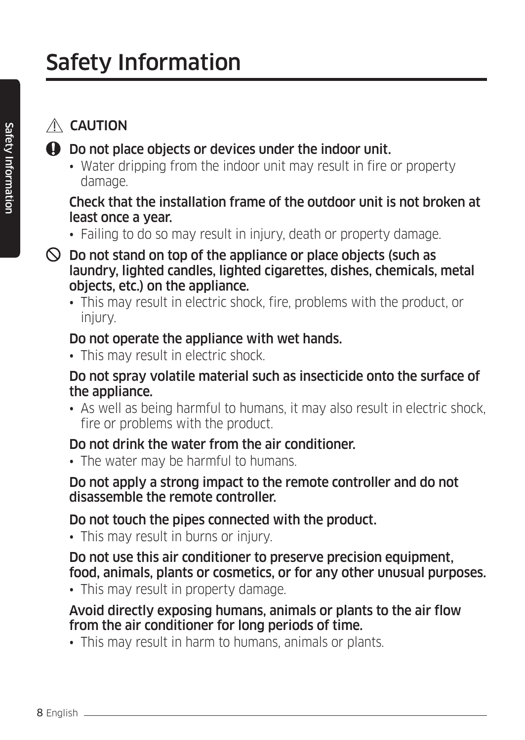# $\land$  CAUTION

- $\bigoplus$  Do not place objects or devices under the indoor unit.
	- Water dripping from the indoor unit may result in fire or property damage.

#### Check that the installation frame of the outdoor unit is not broken at least once a year.

- Failing to do so may result in injury, death or property damage.
- $\heartsuit$  Do not stand on top of the appliance or place objects (such as laundry, lighted candles, lighted cigarettes, dishes, chemicals, metal objects, etc.) on the appliance.
	- This may result in electric shock, fire, problems with the product, or injury.

#### Do not operate the appliance with wet hands.

• This may result in electric shock.

#### Do not spray volatile material such as insecticide onto the surface of the appliance.

• As well as being harmful to humans, it may also result in electric shock, fire or problems with the product.

#### Do not drink the water from the air conditioner.

• The water may be harmful to humans.

#### Do not apply a strong impact to the remote controller and do not disassemble the remote controller.

### Do not touch the pipes connected with the product.

• This may result in burns or injury.

 Do not use this air conditioner to preserve precision equipment, food, animals, plants or cosmetics, or for any other unusual purposes.

• This may result in property damage.

#### Avoid directly exposing humans, animals or plants to the air flow from the air conditioner for long periods of time.

• This may result in harm to humans, animals or plants.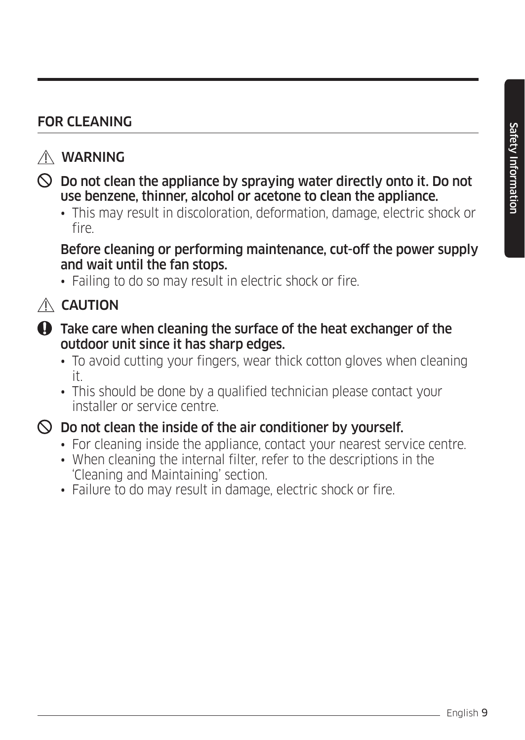#### FOR CLEANING

#### WARNING

- $\heartsuit$  Do not clean the appliance by spraying water directly onto it. Do not use benzene, thinner, alcohol or acetone to clean the appliance.
	- This may result in discoloration, deformation, damage, electric shock or fire.

 Before cleaning or performing maintenance, cut-off the power supply and wait until the fan stops.

• Failing to do so may result in electric shock or fire.

### $\triangle$  CAUTION

- $\bigoplus$  Take care when cleaning the surface of the heat exchanger of the outdoor unit since it has sharp edges.
	- To avoid cutting your fingers, wear thick cotton gloves when cleaning it.
	- This should be done by a qualified technician please contact your installer or service centre.

#### $\heartsuit$  Do not clean the inside of the air conditioner by yourself.

- For cleaning inside the appliance, contact your nearest service centre.
- When cleaning the internal filter, refer to the descriptions in the 'Cleaning and Maintaining' section.
- Failure to do may result in damage, electric shock or fire.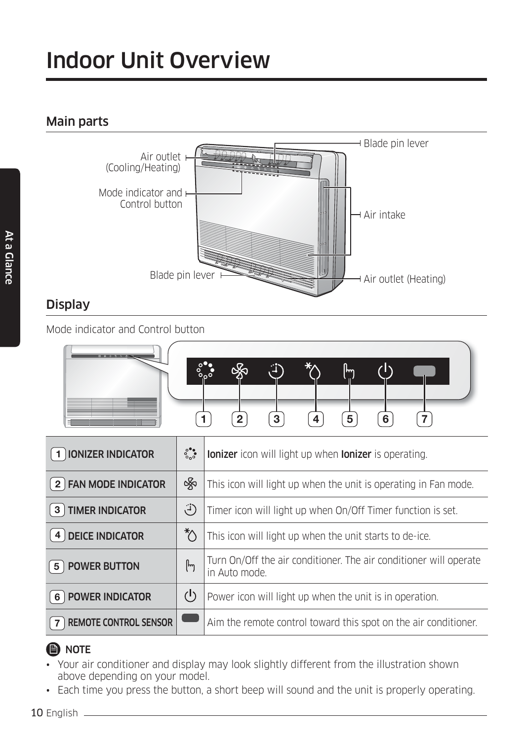# Indoor Unit Overview

#### Main parts



#### **Display**

Mode indicator and Control button

| $\int_{0}^{0}$<br>ັດລັ | $\sim$         | Æ | v<br>*∧ | lm. |   |        |  |
|------------------------|----------------|---|---------|-----|---|--------|--|
|                        |                |   |         |     |   |        |  |
|                        |                |   |         |     |   |        |  |
|                        | $\overline{2}$ | 3 | 4       | 5   | 6 | $\sim$ |  |

| $(1)$ IONIZER INDICATOR           | $\frac{6}{6}$       | lonizer icon will light up when lonizer is operating.                              |  |
|-----------------------------------|---------------------|------------------------------------------------------------------------------------|--|
| 2 FAN MODE INDICATOR              | 紧                   | This icon will light up when the unit is operating in Fan mode.                    |  |
| $\left( 3\right)$ TIMER INDICATOR | $\ddot{F}$          | Timer icon will light up when On/Off Timer function is set.                        |  |
| $(4)$ DEICE INDICATOR             | $\sqrt[*]{}$        | This icon will light up when the unit starts to de-ice.                            |  |
| <b>POWER BUTTON</b><br>-5         | [h <sub>g</sub> ]   | Turn On/Off the air conditioner. The air conditioner will operate<br>in Auto mode. |  |
| $(6)$ POWER INDICATOR             | $\mathcal{L}^{(1)}$ | Power icon will light up when the unit is in operation.                            |  |
| <b>REMOTE CONTROL SENSOR</b>      |                     | Aim the remote control toward this spot on the air conditioner.                    |  |

#### **B** NOTE

- Your air conditioner and display may look slightly different from the illustration shown above depending on your model.
- Each time you press the button, a short beep will sound and the unit is properly operating.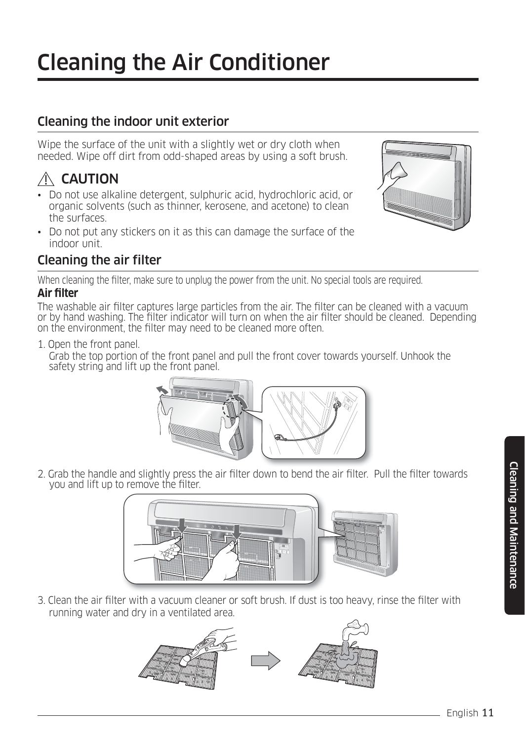#### Cleaning the indoor unit exterior

Wipe the surface of the unit with a slightly wet or dry cloth when needed. Wipe off dirt from odd-shaped areas by using a soft brush.

# $\triangle$  CAUTION

- Do not use alkaline detergent, sulphuric acid, hydrochloric acid, or organic solvents (such as thinner, kerosene, and acetone) to clean the surfaces.
- Do not put any stickers on it as this can damage the surface of the indoor unit.



#### Cleaning the air filter

When cleaning the filter, make sure to unplug the power from the unit. No special tools are required.

#### **Air filter**

The washable air filter captures large particles from the air. The filter can be cleaned with a vacuum or by hand washing. The filter indicator will turn on when the air filter should be cleaned. Depending on the environment, the filter may need to be cleaned more often.

1. Open the front panel.

Grab the top portion of the front panel and pull the front cover towards yourself. Unhook the safety string and lift up the front panel.



2. Grab the handle and slightly press the air filter down to bend the air filter. Pull the filter towards you and lift up to remove the filter.



3. Clean the air filter with a vacuum cleaner or soft brush. If dust is too heavy, rinse the filter with running water and dry in a ventilated area.

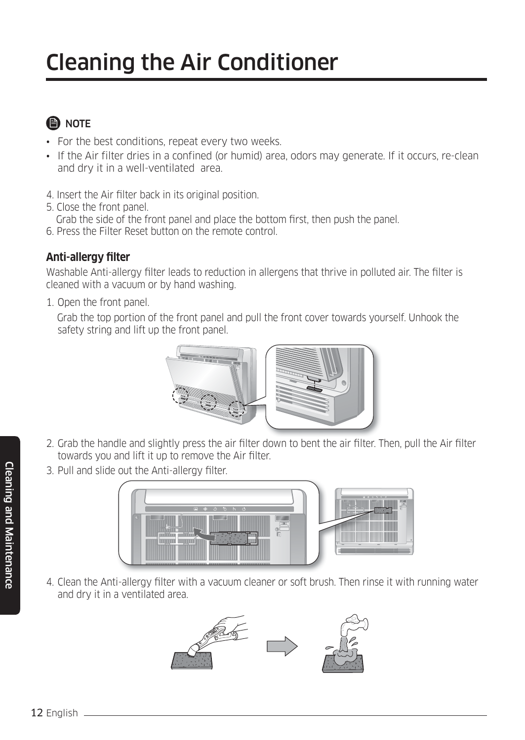# Cleaning the Air Conditioner

# **A** NOTE

- For the best conditions, repeat every two weeks.
- If the Air filter dries in a confined (or humid) area, odors may generate. If it occurs, re-clean and dry it in a well-ventilated area.
- 4. Insert the Air filter back in its original position.
- 5. Close the front panel.
- Grab the side of the front panel and place the bottom first, then push the panel.
- 6. Press the Filter Reset button on the remote control.

#### **Anti-allergy filter**

Washable Anti-allergy filter leads to reduction in allergens that thrive in polluted air. The filter is cleaned with a vacuum or by hand washing.

1. Open the front panel.

 Grab the top portion of the front panel and pull the front cover towards yourself. Unhook the safety string and lift up the front panel.



- 2. Grab the handle and slightly press the air filter down to bent the air filter. Then, pull the Air filter towards you and lift it up to remove the Air filter.
- 3. Pull and slide out the Anti-allergy filter.



4. Clean the Anti-allergy filter with a vacuum cleaner or soft brush. Then rinse it with running water and dry it in a ventilated area.

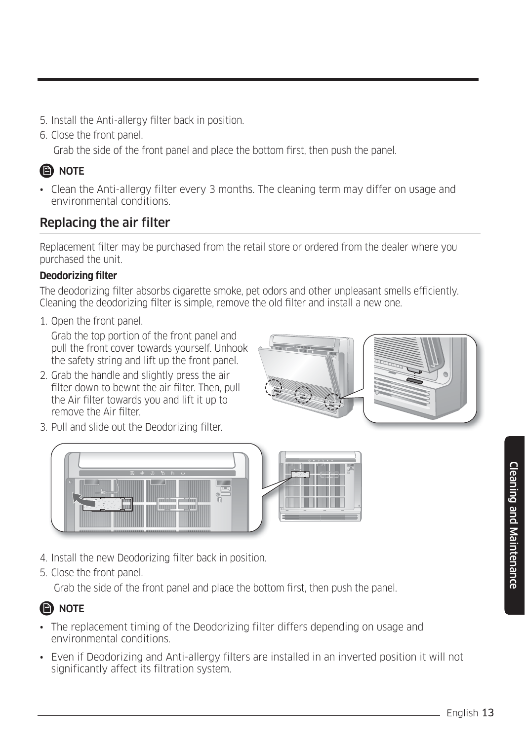Cleaning and Maintenance

Cleaning and Maintenance

- 5. Install the Anti-allergy filter back in position.
- 6. Close the front panel.
	- Grab the side of the front panel and place the bottom first, then push the panel.

# **B** NOTE

• Clean the Anti-allergy filter every 3 months. The cleaning term may differ on usage and environmental conditions.

### Replacing the air filter

Replacement filter may be purchased from the retail store or ordered from the dealer where you purchased the unit.

#### **Deodorizing filter**

The deodorizing filter absorbs cigarette smoke, pet odors and other unpleasant smells efficiently. Cleaning the deodorizing filter is simple, remove the old filter and install a new one.

1. Open the front panel.

Grab the top portion of the front panel and pull the front cover towards yourself. Unhook the safety string and lift up the front panel.

- 2. Grab the handle and slightly press the air filter down to bewnt the air filter. Then, pull the Air filter towards you and lift it up to remove the Air filter.
- 3. Pull and slide out the Deodorizing filter.





- 4. Install the new Deodorizing filter back in position.
- 5. Close the front panel.

Grab the side of the front panel and place the bottom first, then push the panel.

### **B** NOTE

- The replacement timing of the Deodorizing filter differs depending on usage and environmental conditions.
- Even if Deodorizing and Anti-allergy filters are installed in an inverted position it will not significantly affect its filtration system.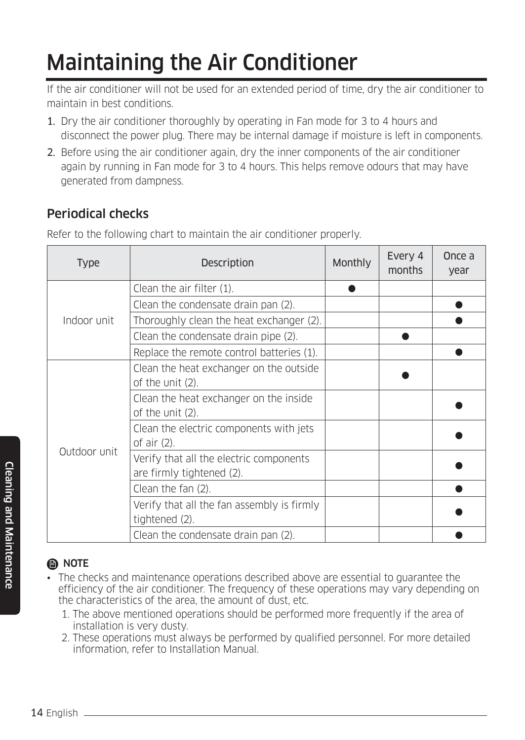# Maintaining the Air Conditioner

If the air conditioner will not be used for an extended period of time, dry the air conditioner to maintain in best conditions.

- 1. Dry the air conditioner thoroughly by operating in Fan mode for 3 to 4 hours and disconnect the power plug. There may be internal damage if moisture is left in components.
- 2. Before using the air conditioner again, dry the inner components of the air conditioner again by running in Fan mode for 3 to 4 hours. This helps remove odours that may have generated from dampness.

#### Periodical checks

Refer to the following chart to maintain the air conditioner properly.

| <b>Type</b>  | Description                                                          | Monthly | Every 4<br>months | Once a<br>year |
|--------------|----------------------------------------------------------------------|---------|-------------------|----------------|
|              | Clean the air filter (1).                                            |         |                   |                |
|              | Clean the condensate drain pan (2).                                  |         |                   |                |
| Indoor unit  | Thoroughly clean the heat exchanger (2).                             |         |                   |                |
|              | Clean the condensate drain pipe (2).                                 |         |                   |                |
|              | Replace the remote control batteries (1).                            |         |                   |                |
|              | Clean the heat exchanger on the outside<br>of the unit (2).          |         |                   |                |
|              | Clean the heat exchanger on the inside<br>of the unit (2).           |         |                   |                |
|              | Clean the electric components with jets<br>of air $(2)$ .            |         |                   |                |
| Outdoor unit | Verify that all the electric components<br>are firmly tightened (2). |         |                   |                |
|              | Clean the fan (2).                                                   |         |                   |                |
|              | Verify that all the fan assembly is firmly<br>tightened (2).         |         |                   |                |
|              | Clean the condensate drain pan (2).                                  |         |                   |                |

### **B** NOTE

- The checks and maintenance operations described above are essential to guarantee the efficiency of the air conditioner. The frequency of these operations may vary depending on the characteristics of the area, the amount of dust, etc.
	- 1. The above mentioned operations should be performed more frequently if the area of installation is very dusty.
	- 2. These operations must always be performed by qualified personnel. For more detailed information, refer to Installation Manual.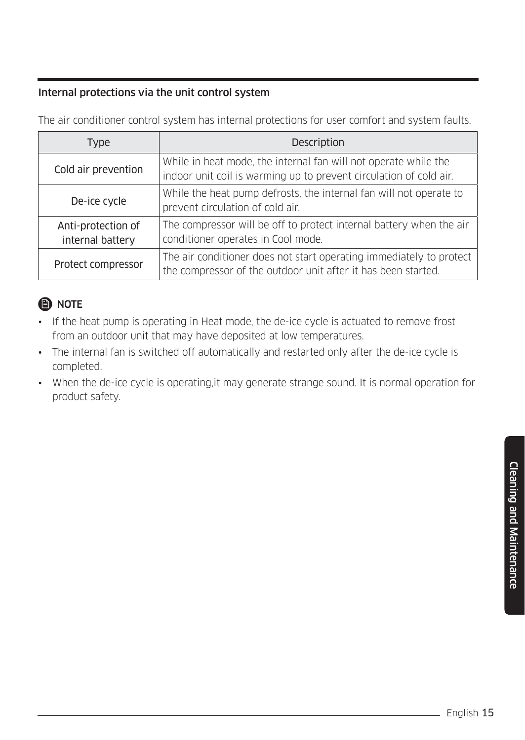#### Internal protections via the unit control system

The air conditioner control system has internal protections for user comfort and system faults.

| <b>Type</b>                            | Description                                                                                                                           |
|----------------------------------------|---------------------------------------------------------------------------------------------------------------------------------------|
| Cold air prevention                    | While in heat mode, the internal fan will not operate while the<br>indoor unit coil is warming up to prevent circulation of cold air. |
| De-ice cycle                           | While the heat pump defrosts, the internal fan will not operate to<br>prevent circulation of cold air.                                |
| Anti-protection of<br>internal battery | The compressor will be off to protect internal battery when the air<br>conditioner operates in Cool mode.                             |
| Protect compressor                     | The air conditioner does not start operating immediately to protect<br>the compressor of the outdoor unit after it has been started.  |

#### **O** NOTE

- If the heat pump is operating in Heat mode, the de-ice cycle is actuated to remove frost from an outdoor unit that may have deposited at low temperatures.
- The internal fan is switched off automatically and restarted only after the de-ice cycle is completed.
- When the de-ice cycle is operating,it may generate strange sound. It is normal operation for product safety.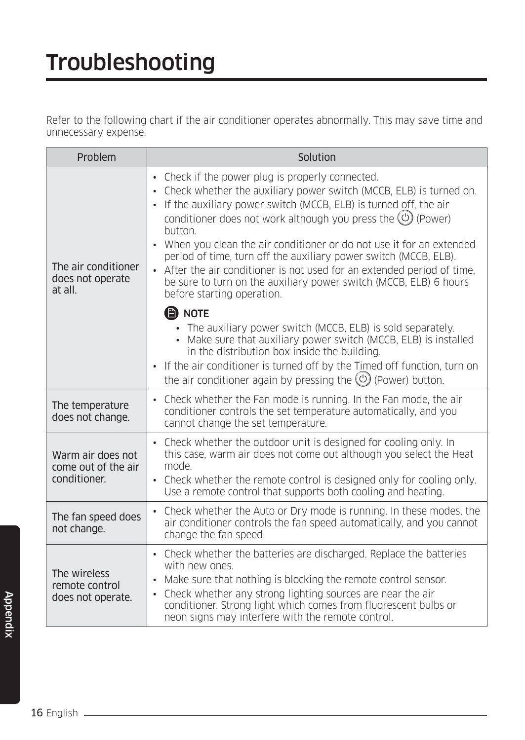Refer to the following chart if the air conditioner operates abnormally. This may save time and unnecessary expense.

| Problem                                                  | Solution                                                                                                                                                                                                                                                                                                                                                                                                                                                                                                            |
|----------------------------------------------------------|---------------------------------------------------------------------------------------------------------------------------------------------------------------------------------------------------------------------------------------------------------------------------------------------------------------------------------------------------------------------------------------------------------------------------------------------------------------------------------------------------------------------|
| The air conditioner<br>does not operate<br>at all.       | • Check if the power plug is properly connected.<br>Check whether the auxiliary power switch (MCCB, ELB) is turned on.<br>• If the auxiliary power switch (MCCB, ELB) is turned off, the air<br>conditioner does not work although you press the $(\bigcirc)$ (Power)<br>button.<br>When you clean the air conditioner or do not use it for an extended<br>$\bullet$<br>period of time, turn off the auxiliary power switch (MCCB, ELB).<br>• After the air conditioner is not used for an extended period of time, |
|                                                          | be sure to turn on the auxiliary power switch (MCCB, ELB) 6 hours<br>before starting operation.<br><b>B</b> NOTE<br>• The auxiliary power switch (MCCB, ELB) is sold separately.<br>Make sure that auxiliary power switch (MCCB, ELB) is installed<br>in the distribution box inside the building.<br>• If the air conditioner is turned off by the Timed off function, turn on<br>the air conditioner again by pressing the $\left(\bigcup\right)$ (Power) button.                                                 |
| The temperature<br>does not change.                      | Check whether the Fan mode is running. In the Fan mode, the air<br>$\bullet$<br>conditioner controls the set temperature automatically, and you<br>cannot change the set temperature.                                                                                                                                                                                                                                                                                                                               |
| Warm air does not<br>come out of the air<br>conditioner. | • Check whether the outdoor unit is designed for cooling only. In<br>this case, warm air does not come out although you select the Heat<br>mode.<br>Check whether the remote control is designed only for cooling only.<br>Use a remote control that supports both cooling and heating.                                                                                                                                                                                                                             |
| The fan speed does<br>not change.                        | Check whether the Auto or Dry mode is running. In these modes, the<br>$\bullet$<br>air conditioner controls the fan speed automatically, and you cannot<br>change the fan speed.                                                                                                                                                                                                                                                                                                                                    |
| The wireless<br>remote control<br>does not operate.      | • Check whether the batteries are discharged. Replace the batteries<br>with new ones.<br>Make sure that nothing is blocking the remote control sensor.<br>Check whether any strong lighting sources are near the air<br>$\bullet$<br>conditioner. Strong light which comes from fluorescent bulbs or<br>neon signs may interfere with the remote control.                                                                                                                                                           |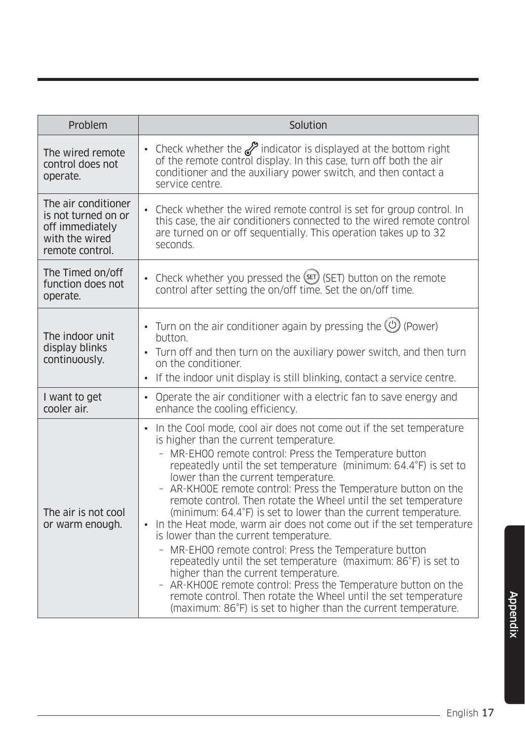| Problem                                                                                            | Solution                                                                                                                                                                                                                                                                                                                                                                                                                                                                                                                                                                                                                                                                                                                                                                                                                                                                                                                                                                        |
|----------------------------------------------------------------------------------------------------|---------------------------------------------------------------------------------------------------------------------------------------------------------------------------------------------------------------------------------------------------------------------------------------------------------------------------------------------------------------------------------------------------------------------------------------------------------------------------------------------------------------------------------------------------------------------------------------------------------------------------------------------------------------------------------------------------------------------------------------------------------------------------------------------------------------------------------------------------------------------------------------------------------------------------------------------------------------------------------|
| The wired remote<br>control does not<br>operate.                                                   | • Check whether the <i>S</i> indicator is displayed at the bottom right<br>of the remote control display. In this case, turn off both the air<br>conditioner and the auxiliary power switch, and then contact a<br>service centre.                                                                                                                                                                                                                                                                                                                                                                                                                                                                                                                                                                                                                                                                                                                                              |
| The air conditioner<br>is not turned on or<br>off immediately<br>with the wired<br>remote control. | Check whether the wired remote control is set for group control. In<br>$\bullet$<br>this case, the air conditioners connected to the wired remote control<br>are turned on or off sequentially. This operation takes up to 32<br>seconds.                                                                                                                                                                                                                                                                                                                                                                                                                                                                                                                                                                                                                                                                                                                                       |
| The Timed on/off<br>function does not<br>operate.                                                  | Check whether you pressed the (set) (SET) button on the remote<br>control after setting the on/off time. Set the on/off time.                                                                                                                                                                                                                                                                                                                                                                                                                                                                                                                                                                                                                                                                                                                                                                                                                                                   |
| The indoor unit<br>display blinks<br>continuously.                                                 | • Turn on the air conditioner again by pressing the $\circledcirc$ (Power)<br>button.<br>• Turn off and then turn on the auxiliary power switch, and then turn<br>on the conditioner.<br>If the indoor unit display is still blinking, contact a service centre.<br>$\bullet$                                                                                                                                                                                                                                                                                                                                                                                                                                                                                                                                                                                                                                                                                                   |
| I want to get<br>cooler air.                                                                       | Operate the air conditioner with a electric fan to save energy and<br>$\bullet$<br>enhance the cooling efficiency.                                                                                                                                                                                                                                                                                                                                                                                                                                                                                                                                                                                                                                                                                                                                                                                                                                                              |
| The air is not cool<br>or warm enough.                                                             | In the Cool mode, cool air does not come out if the set temperature<br>is higher than the current temperature.<br>MR-EH00 remote control: Press the Temperature button<br>repeatedly until the set temperature (minimum: 64.4°F) is set to<br>lower than the current temperature.<br>AR-KHOOE remote control: Press the Temperature button on the<br>remote control. Then rotate the Wheel until the set temperature<br>(minimum: 64.4°F) is set to lower than the current temperature.<br>In the Heat mode, warm air does not come out if the set temperature<br>is lower than the current temperature.<br>MR-EH00 remote control: Press the Temperature button<br>repeatedly until the set temperature (maximum: 86°F) is set to<br>higher than the current temperature.<br>AR-KHOOE remote control: Press the Temperature button on the<br>remote control. Then rotate the Wheel until the set temperature<br>(maximum: 86°F) is set to higher than the current temperature. |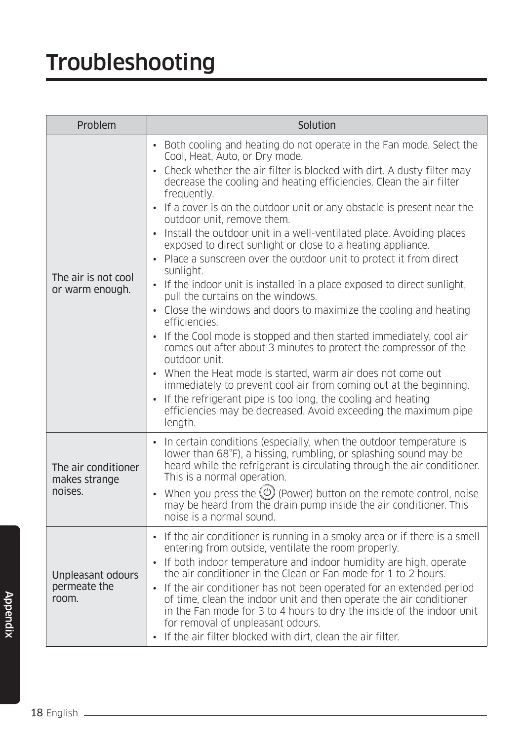# Troubleshooting

| Problem                                         | Solution                                                                                                                                                                                                                                                                                                                                                                                                                                                                                                                                                                                                                                                                                                                                                                                                                                                                                                                                                                                                                                                                                                                                                                                                                                                                                                                                 |  |  |  |  |
|-------------------------------------------------|------------------------------------------------------------------------------------------------------------------------------------------------------------------------------------------------------------------------------------------------------------------------------------------------------------------------------------------------------------------------------------------------------------------------------------------------------------------------------------------------------------------------------------------------------------------------------------------------------------------------------------------------------------------------------------------------------------------------------------------------------------------------------------------------------------------------------------------------------------------------------------------------------------------------------------------------------------------------------------------------------------------------------------------------------------------------------------------------------------------------------------------------------------------------------------------------------------------------------------------------------------------------------------------------------------------------------------------|--|--|--|--|
| The air is not cool<br>or warm enough.          | • Both cooling and heating do not operate in the Fan mode. Select the<br>Cool, Heat, Auto, or Dry mode.<br>Check whether the air filter is blocked with dirt. A dusty filter may<br>$\bullet$<br>decrease the cooling and heating efficiencies. Clean the air filter<br>frequently.<br>• If a cover is on the outdoor unit or any obstacle is present near the<br>outdoor unit, remove them.<br>Install the outdoor unit in a well-ventilated place. Avoiding places<br>$\bullet$<br>exposed to direct sunlight or close to a heating appliance.<br>Place a sunscreen over the outdoor unit to protect it from direct<br>$\bullet$<br>sunlight.<br>If the indoor unit is installed in a place exposed to direct sunlight,<br>$\bullet$<br>pull the curtains on the windows.<br>Close the windows and doors to maximize the cooling and heating<br>$\bullet$<br>efficiencies.<br>• If the Cool mode is stopped and then started immediately, cool air<br>comes out after about 3 minutes to protect the compressor of the<br>outdoor unit.<br>• When the Heat mode is started, warm air does not come out<br>immediately to prevent cool air from coming out at the beginning.<br>If the refrigerant pipe is too long, the cooling and heating<br>$\bullet$<br>efficiencies may be decreased. Avoid exceeding the maximum pipe<br>length. |  |  |  |  |
| The air conditioner<br>makes strange<br>noises. | In certain conditions (especially, when the outdoor temperature is<br>lower than 68°F), a hissing, rumbling, or splashing sound may be<br>heard while the refrigerant is circulating through the air conditioner.<br>This is a normal operation.<br>• When you press the $\circledcirc$ (Power) button on the remote control, noise<br>may be heard from the drain pump inside the air conditioner. This<br>noise is a normal sound.                                                                                                                                                                                                                                                                                                                                                                                                                                                                                                                                                                                                                                                                                                                                                                                                                                                                                                     |  |  |  |  |
| Unpleasant odours<br>permeate the<br>room.      | • If the air conditioner is running in a smoky area or if there is a smell<br>entering from outside, ventilate the room properly.<br>• If both indoor temperature and indoor humidity are high, operate<br>the air conditioner in the Clean or Fan mode for 1 to 2 hours.<br>If the air conditioner has not been operated for an extended period<br>$\bullet$<br>of time, clean the indoor unit and then operate the air conditioner<br>in the Fan mode for 3 to 4 hours to dry the inside of the indoor unit<br>for removal of unpleasant odours.<br>• If the air filter blocked with dirt, clean the air filter.                                                                                                                                                                                                                                                                                                                                                                                                                                                                                                                                                                                                                                                                                                                       |  |  |  |  |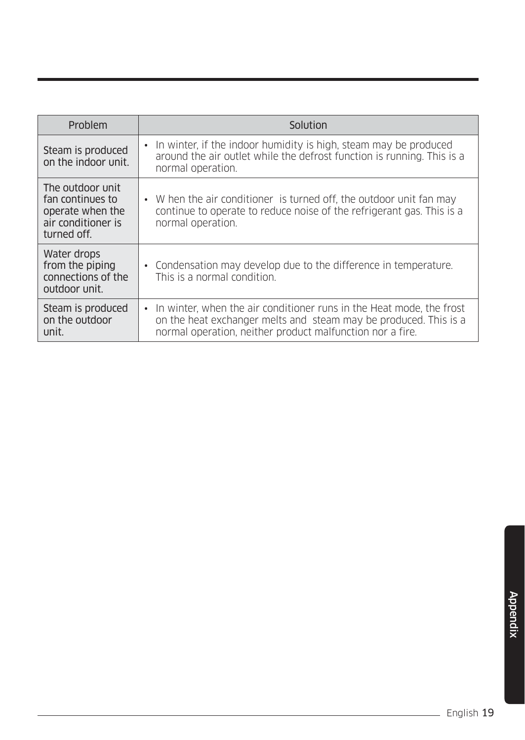| Problem                                                                                       | Solution                                                                                                                                                                                                |
|-----------------------------------------------------------------------------------------------|---------------------------------------------------------------------------------------------------------------------------------------------------------------------------------------------------------|
| Steam is produced<br>on the indoor unit.                                                      | • In winter, if the indoor humidity is high, steam may be produced<br>around the air outlet while the defrost function is running. This is a<br>normal operation.                                       |
| The outdoor unit<br>fan continues to<br>operate when the<br>air conditioner is<br>turned off. | • W hen the air conditioner is turned off, the outdoor unit fan may<br>continue to operate to reduce noise of the refrigerant gas. This is a<br>normal operation.                                       |
| Water drops<br>from the piping<br>connections of the<br>outdoor unit.                         | • Condensation may develop due to the difference in temperature.<br>This is a normal condition.                                                                                                         |
| Steam is produced<br>on the outdoor<br>unit.                                                  | • In winter, when the air conditioner runs in the Heat mode, the frost<br>on the heat exchanger melts and steam may be produced. This is a<br>normal operation, neither product malfunction nor a fire. |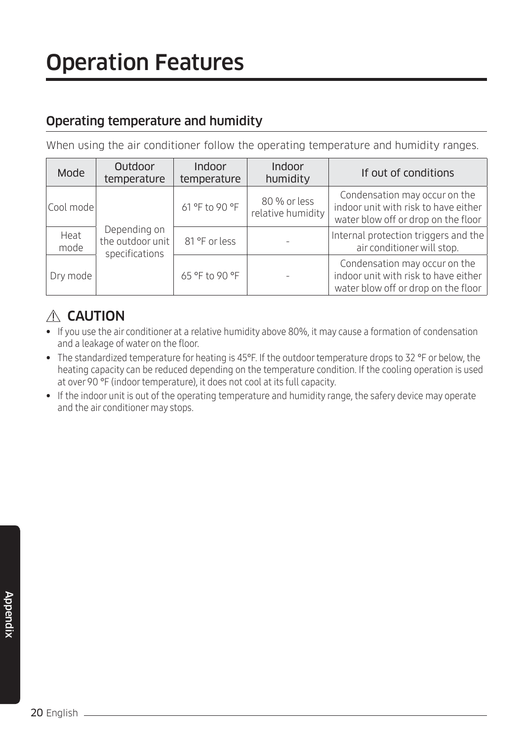# Operation Features

#### Operating temperature and humidity

When using the air conditioner follow the operating temperature and humidity ranges.

| Mode         | Outdoor<br>temperature                             | Indoor<br>temperature | <b>Indoor</b><br>humidity         | If out of conditions                                                                                         |
|--------------|----------------------------------------------------|-----------------------|-----------------------------------|--------------------------------------------------------------------------------------------------------------|
| Cool mode    |                                                    | 61 °F to 90 °F        | 80 % or less<br>relative humidity | Condensation may occur on the<br>indoor unit with risk to have either<br>water blow off or drop on the floor |
| Heat<br>mode | Depending on<br>the outdoor unit<br>specifications | 81 °F or less         |                                   | Internal protection triggers and the<br>air conditioner will stop.                                           |
| Dry mode     |                                                    | 65 °F to 90 °F        |                                   | Condensation may occur on the<br>indoor unit with risk to have either<br>water blow off or drop on the floor |

### $A$  CAUTION

- If you use the air conditioner at a relative humidity above 80%, it may cause a formation of condensation and a leakage of water on the floor.
- The standardized temperature for heating is 45°F. If the outdoor temperature drops to 32 °F or below, the heating capacity can be reduced depending on the temperature condition. If the cooling operation is used at over 90 °F (indoor temperature), it does not cool at its full capacity.
- If the indoor unit is out of the operating temperature and humidity range, the safery device may operate and the air conditioner may stops.